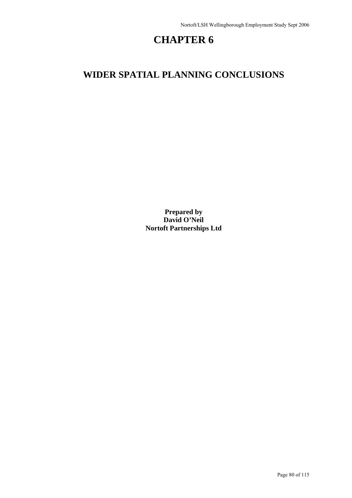# **CHAPTER 6**

## **WIDER SPATIAL PLANNING CONCLUSIONS**

**Prepared by David O'Neil Nortoft Partnerships Ltd**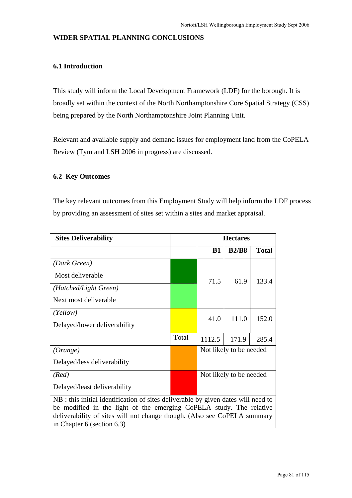#### **WIDER SPATIAL PLANNING CONCLUSIONS**

#### **6.1 Introduction**

This study will inform the Local Development Framework (LDF) for the borough. It is broadly set within the context of the North Northamptonshire Core Spatial Strategy (CSS) being prepared by the North Northamptonshire Joint Planning Unit.

Relevant and available supply and demand issues for employment land from the CoPELA Review (Tym and LSH 2006 in progress) are discussed.

#### **6.2 Key Outcomes**

The key relevant outcomes from this Employment Study will help inform the LDF process by providing an assessment of sites set within a sites and market appraisal.

| <b>Sites Deliverability</b>                                                                                                                                                                                                                                             |       | <b>Hectares</b>         |              |              |  |  |  |
|-------------------------------------------------------------------------------------------------------------------------------------------------------------------------------------------------------------------------------------------------------------------------|-------|-------------------------|--------------|--------------|--|--|--|
|                                                                                                                                                                                                                                                                         |       | <b>B1</b>               | <b>B2/B8</b> | <b>Total</b> |  |  |  |
| (Dark Green)                                                                                                                                                                                                                                                            |       |                         |              |              |  |  |  |
| Most deliverable                                                                                                                                                                                                                                                        |       | 71.5                    | 61.9         | 133.4        |  |  |  |
| (Hatched/Light Green)                                                                                                                                                                                                                                                   |       |                         |              |              |  |  |  |
| Next most deliverable                                                                                                                                                                                                                                                   |       |                         |              |              |  |  |  |
| (Yellow)                                                                                                                                                                                                                                                                |       | 41.0                    | 111.0        | 152.0        |  |  |  |
| Delayed/lower deliverability                                                                                                                                                                                                                                            |       |                         |              |              |  |  |  |
|                                                                                                                                                                                                                                                                         | Total | 1112.5                  | 171.9        | 285.4        |  |  |  |
| (Orange)                                                                                                                                                                                                                                                                |       | Not likely to be needed |              |              |  |  |  |
| Delayed/less deliverability                                                                                                                                                                                                                                             |       |                         |              |              |  |  |  |
| (Red)                                                                                                                                                                                                                                                                   |       | Not likely to be needed |              |              |  |  |  |
| Delayed/least deliverability                                                                                                                                                                                                                                            |       |                         |              |              |  |  |  |
| NB : this initial identification of sites deliverable by given dates will need to<br>be modified in the light of the emerging CoPELA study. The relative<br>deliverability of sites will not change though. (Also see CoPELA summary<br>in Chapter $6$ (section $6.3$ ) |       |                         |              |              |  |  |  |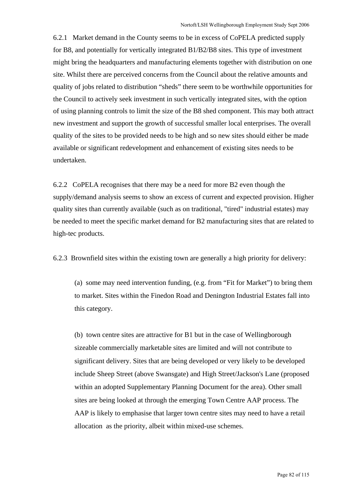6.2.1 Market demand in the County seems to be in excess of CoPELA predicted supply for B8, and potentially for vertically integrated B1/B2/B8 sites. This type of investment might bring the headquarters and manufacturing elements together with distribution on one site. Whilst there are perceived concerns from the Council about the relative amounts and quality of jobs related to distribution "sheds" there seem to be worthwhile opportunities for the Council to actively seek investment in such vertically integrated sites, with the option of using planning controls to limit the size of the B8 shed component. This may both attract new investment and support the growth of successful smaller local enterprises. The overall quality of the sites to be provided needs to be high and so new sites should either be made available or significant redevelopment and enhancement of existing sites needs to be undertaken.

6.2.2 CoPELA recognises that there may be a need for more B2 even though the supply/demand analysis seems to show an excess of current and expected provision. Higher quality sites than currently available (such as on traditional, "tired" industrial estates) may be needed to meet the specific market demand for B2 manufacturing sites that are related to high-tec products.

6.2.3 Brownfield sites within the existing town are generally a high priority for delivery:

(a) some may need intervention funding, (e.g. from "Fit for Market") to bring them to market. Sites within the Finedon Road and Denington Industrial Estates fall into this category.

(b) town centre sites are attractive for B1 but in the case of Wellingborough sizeable commercially marketable sites are limited and will not contribute to significant delivery. Sites that are being developed or very likely to be developed include Sheep Street (above Swansgate) and High Street/Jackson's Lane (proposed within an adopted Supplementary Planning Document for the area). Other small sites are being looked at through the emerging Town Centre AAP process. The AAP is likely to emphasise that larger town centre sites may need to have a retail allocation as the priority, albeit within mixed-use schemes.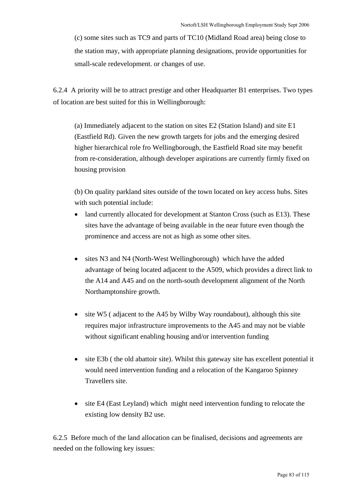(c) some sites such as TC9 and parts of TC10 (Midland Road area) being close to the station may, with appropriate planning designations, provide opportunities for small-scale redevelopment. or changes of use.

6.2.4 A priority will be to attract prestige and other Headquarter B1 enterprises. Two types of location are best suited for this in Wellingborough:

(a) Immediately adjacent to the station on sites E2 (Station Island) and site E1 (Eastfield Rd). Given the new growth targets for jobs and the emerging desired higher hierarchical role fro Wellingborough, the Eastfield Road site may benefit from re-consideration, although developer aspirations are currently firmly fixed on housing provision

(b) On quality parkland sites outside of the town located on key access hubs. Sites with such potential include:

- land currently allocated for development at Stanton Cross (such as E13). These sites have the advantage of being available in the near future even though the prominence and access are not as high as some other sites.
- sites N3 and N4 (North-West Wellingborough) which have the added advantage of being located adjacent to the A509, which provides a direct link to the A14 and A45 and on the north-south development alignment of the North Northamptonshire growth.
- site W5 (adjacent to the A45 by Wilby Way roundabout), although this site requires major infrastructure improvements to the A45 and may not be viable without significant enabling housing and/or intervention funding
- site E3b (the old abattoir site). Whilst this gateway site has excellent potential it would need intervention funding and a relocation of the Kangaroo Spinney Travellers site.
- site E4 (East Leyland) which might need intervention funding to relocate the existing low density B2 use.

6.2.5 Before much of the land allocation can be finalised, decisions and agreements are needed on the following key issues: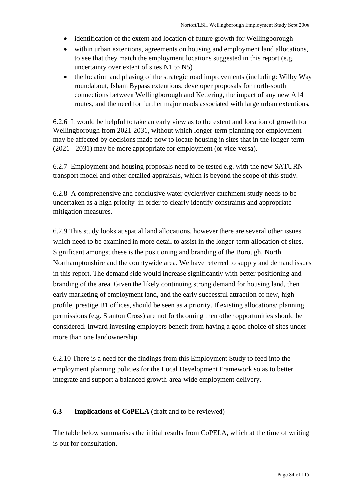- identification of the extent and location of future growth for Wellingborough
- within urban extentions, agreements on housing and employment land allocations, to see that they match the employment locations suggested in this report (e.g. uncertainty over extent of sites N1 to N5)
- the location and phasing of the strategic road improvements (including: Wilby Way roundabout, Isham Bypass extentions, developer proposals for north-south connections between Wellingborough and Kettering, the impact of any new A14 routes, and the need for further major roads associated with large urban extentions.

6.2.6 It would be helpful to take an early view as to the extent and location of growth for Wellingborough from 2021-2031, without which longer-term planning for employment may be affected by decisions made now to locate housing in sites that in the longer-term (2021 - 2031) may be more appropriate for employment (or vice-versa).

6.2.7 Employment and housing proposals need to be tested e.g. with the new SATURN transport model and other detailed appraisals, which is beyond the scope of this study.

6.2.8 A comprehensive and conclusive water cycle/river catchment study needs to be undertaken as a high priority in order to clearly identify constraints and appropriate mitigation measures.

6.2.9 This study looks at spatial land allocations, however there are several other issues which need to be examined in more detail to assist in the longer-term allocation of sites. Significant amongst these is the positioning and branding of the Borough, North Northamptonshire and the countywide area. We have referred to supply and demand issues in this report. The demand side would increase significantly with better positioning and branding of the area. Given the likely continuing strong demand for housing land, then early marketing of employment land, and the early successful attraction of new, highprofile, prestige B1 offices, should be seen as a priority. If existing allocations/ planning permissions (e.g. Stanton Cross) are not forthcoming then other opportunities should be considered. Inward investing employers benefit from having a good choice of sites under more than one landownership.

6.2.10 There is a need for the findings from this Employment Study to feed into the employment planning policies for the Local Development Framework so as to better integrate and support a balanced growth-area-wide employment delivery.

### **6.3 Implications of CoPELA** (draft and to be reviewed)

The table below summarises the initial results from CoPELA, which at the time of writing is out for consultation.